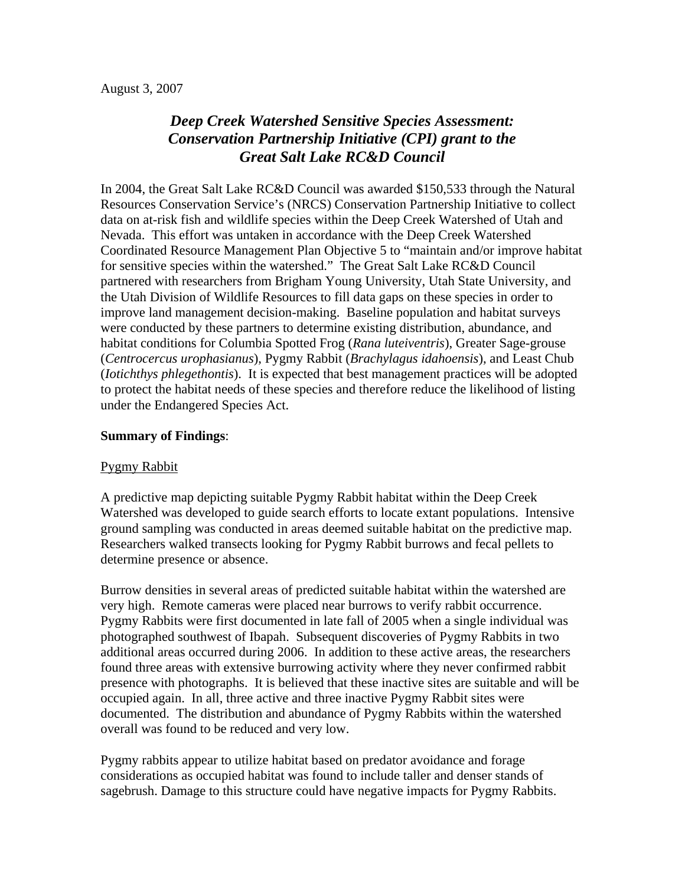#### August 3, 2007

# *Deep Creek Watershed Sensitive Species Assessment: Conservation Partnership Initiative (CPI) grant to the Great Salt Lake RC&D Council*

In 2004, the Great Salt Lake RC&D Council was awarded \$150,533 through the Natural Resources Conservation Service's (NRCS) Conservation Partnership Initiative to collect data on at-risk fish and wildlife species within the Deep Creek Watershed of Utah and Nevada. This effort was untaken in accordance with the Deep Creek Watershed Coordinated Resource Management Plan Objective 5 to "maintain and/or improve habitat for sensitive species within the watershed." The Great Salt Lake RC&D Council partnered with researchers from Brigham Young University, Utah State University, and the Utah Division of Wildlife Resources to fill data gaps on these species in order to improve land management decision-making. Baseline population and habitat surveys were conducted by these partners to determine existing distribution, abundance, and habitat conditions for Columbia Spotted Frog (*Rana luteiventris*), Greater Sage-grouse (*Centrocercus urophasianus*), Pygmy Rabbit (*Brachylagus idahoensis*), and Least Chub (*Iotichthys phlegethontis*). It is expected that best management practices will be adopted to protect the habitat needs of these species and therefore reduce the likelihood of listing under the Endangered Species Act.

#### **Summary of Findings**:

#### Pygmy Rabbit

A predictive map depicting suitable Pygmy Rabbit habitat within the Deep Creek Watershed was developed to guide search efforts to locate extant populations. Intensive ground sampling was conducted in areas deemed suitable habitat on the predictive map. Researchers walked transects looking for Pygmy Rabbit burrows and fecal pellets to determine presence or absence.

Burrow densities in several areas of predicted suitable habitat within the watershed are very high. Remote cameras were placed near burrows to verify rabbit occurrence. Pygmy Rabbits were first documented in late fall of 2005 when a single individual was photographed southwest of Ibapah. Subsequent discoveries of Pygmy Rabbits in two additional areas occurred during 2006. In addition to these active areas, the researchers found three areas with extensive burrowing activity where they never confirmed rabbit presence with photographs. It is believed that these inactive sites are suitable and will be occupied again. In all, three active and three inactive Pygmy Rabbit sites were documented. The distribution and abundance of Pygmy Rabbits within the watershed overall was found to be reduced and very low.

Pygmy rabbits appear to utilize habitat based on predator avoidance and forage considerations as occupied habitat was found to include taller and denser stands of sagebrush. Damage to this structure could have negative impacts for Pygmy Rabbits.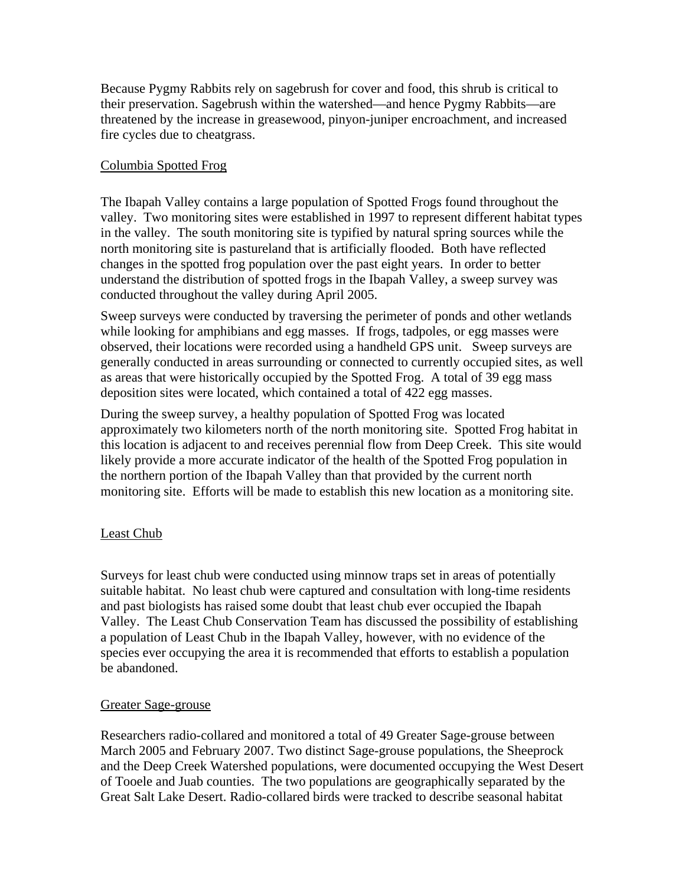Because Pygmy Rabbits rely on sagebrush for cover and food, this shrub is critical to their preservation. Sagebrush within the watershed—and hence Pygmy Rabbits—are threatened by the increase in greasewood, pinyon-juniper encroachment, and increased fire cycles due to cheatgrass.

#### Columbia Spotted Frog

The Ibapah Valley contains a large population of Spotted Frogs found throughout the valley. Two monitoring sites were established in 1997 to represent different habitat types in the valley. The south monitoring site is typified by natural spring sources while the north monitoring site is pastureland that is artificially flooded. Both have reflected changes in the spotted frog population over the past eight years. In order to better understand the distribution of spotted frogs in the Ibapah Valley, a sweep survey was conducted throughout the valley during April 2005.

Sweep surveys were conducted by traversing the perimeter of ponds and other wetlands while looking for amphibians and egg masses. If frogs, tadpoles, or egg masses were observed, their locations were recorded using a handheld GPS unit. Sweep surveys are generally conducted in areas surrounding or connected to currently occupied sites, as well as areas that were historically occupied by the Spotted Frog. A total of 39 egg mass deposition sites were located, which contained a total of 422 egg masses.

During the sweep survey, a healthy population of Spotted Frog was located approximately two kilometers north of the north monitoring site. Spotted Frog habitat in this location is adjacent to and receives perennial flow from Deep Creek. This site would likely provide a more accurate indicator of the health of the Spotted Frog population in the northern portion of the Ibapah Valley than that provided by the current north monitoring site. Efforts will be made to establish this new location as a monitoring site.

#### Least Chub

Surveys for least chub were conducted using minnow traps set in areas of potentially suitable habitat. No least chub were captured and consultation with long-time residents and past biologists has raised some doubt that least chub ever occupied the Ibapah Valley. The Least Chub Conservation Team has discussed the possibility of establishing a population of Least Chub in the Ibapah Valley, however, with no evidence of the species ever occupying the area it is recommended that efforts to establish a population be abandoned.

#### Greater Sage-grouse

Researchers radio-collared and monitored a total of 49 Greater Sage-grouse between March 2005 and February 2007. Two distinct Sage-grouse populations, the Sheeprock and the Deep Creek Watershed populations, were documented occupying the West Desert of Tooele and Juab counties. The two populations are geographically separated by the Great Salt Lake Desert. Radio-collared birds were tracked to describe seasonal habitat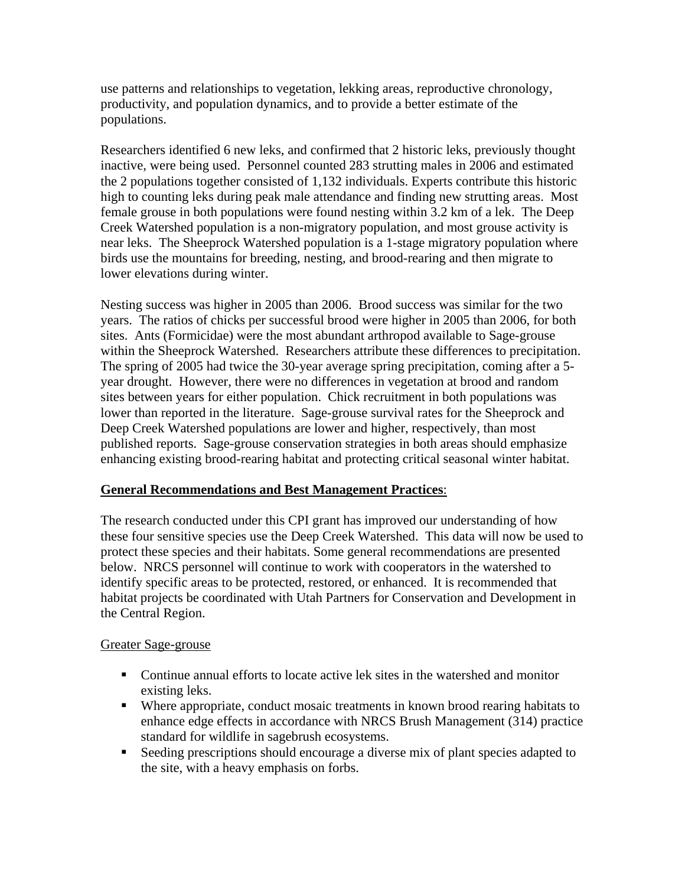use patterns and relationships to vegetation, lekking areas, reproductive chronology, productivity, and population dynamics, and to provide a better estimate of the populations.

Researchers identified 6 new leks, and confirmed that 2 historic leks, previously thought inactive, were being used. Personnel counted 283 strutting males in 2006 and estimated the 2 populations together consisted of 1,132 individuals. Experts contribute this historic high to counting leks during peak male attendance and finding new strutting areas. Most female grouse in both populations were found nesting within 3.2 km of a lek. The Deep Creek Watershed population is a non-migratory population, and most grouse activity is near leks. The Sheeprock Watershed population is a 1-stage migratory population where birds use the mountains for breeding, nesting, and brood-rearing and then migrate to lower elevations during winter.

Nesting success was higher in 2005 than 2006. Brood success was similar for the two years. The ratios of chicks per successful brood were higher in 2005 than 2006, for both sites. Ants (Formicidae) were the most abundant arthropod available to Sage-grouse within the Sheeprock Watershed. Researchers attribute these differences to precipitation. The spring of 2005 had twice the 30-year average spring precipitation, coming after a 5 year drought. However, there were no differences in vegetation at brood and random sites between years for either population. Chick recruitment in both populations was lower than reported in the literature. Sage-grouse survival rates for the Sheeprock and Deep Creek Watershed populations are lower and higher, respectively, than most published reports. Sage-grouse conservation strategies in both areas should emphasize enhancing existing brood-rearing habitat and protecting critical seasonal winter habitat.

#### **General Recommendations and Best Management Practices**:

The research conducted under this CPI grant has improved our understanding of how these four sensitive species use the Deep Creek Watershed. This data will now be used to protect these species and their habitats. Some general recommendations are presented below. NRCS personnel will continue to work with cooperators in the watershed to identify specific areas to be protected, restored, or enhanced. It is recommended that habitat projects be coordinated with Utah Partners for Conservation and Development in the Central Region.

### Greater Sage-grouse

- Continue annual efforts to locate active lek sites in the watershed and monitor existing leks.
- Where appropriate, conduct mosaic treatments in known brood rearing habitats to enhance edge effects in accordance with NRCS Brush Management (314) practice standard for wildlife in sagebrush ecosystems.
- Seeding prescriptions should encourage a diverse mix of plant species adapted to the site, with a heavy emphasis on forbs.